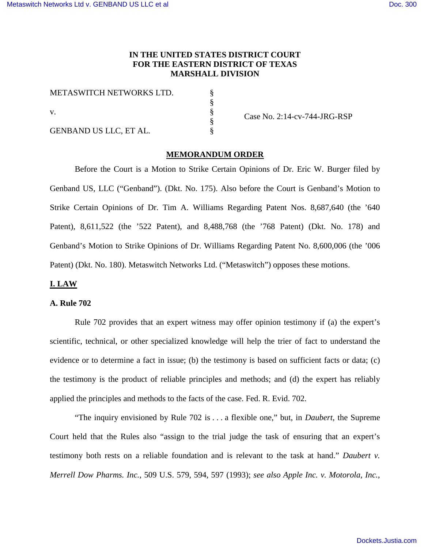## **IN THE UNITED STATES DISTRICT COURT FOR THE EASTERN DISTRICT OF TEXAS MARSHALL DIVISION**

| METASWITCH NETWORKS LTD.      |  |
|-------------------------------|--|
|                               |  |
|                               |  |
|                               |  |
| <b>GENBAND US LLC, ET AL.</b> |  |

Case No. 2:14-cv-744-JRG-RSP

# **MEMORANDUM ORDER**

Before the Court is a Motion to Strike Certain Opinions of Dr. Eric W. Burger filed by Genband US, LLC ("Genband"). (Dkt. No. 175). Also before the Court is Genband's Motion to Strike Certain Opinions of Dr. Tim A. Williams Regarding Patent Nos. 8,687,640 (the '640 Patent), 8,611,522 (the '522 Patent), and 8,488,768 (the '768 Patent) (Dkt. No. 178) and Genband's Motion to Strike Opinions of Dr. Williams Regarding Patent No. 8,600,006 (the '006 Patent) (Dkt. No. 180). Metaswitch Networks Ltd. ("Metaswitch") opposes these motions.

## **I. LAW**

## **A. Rule 702**

Rule 702 provides that an expert witness may offer opinion testimony if (a) the expert's scientific, technical, or other specialized knowledge will help the trier of fact to understand the evidence or to determine a fact in issue; (b) the testimony is based on sufficient facts or data; (c) the testimony is the product of reliable principles and methods; and (d) the expert has reliably applied the principles and methods to the facts of the case. Fed. R. Evid. 702.

"The inquiry envisioned by Rule 702 is . . . a flexible one," but, in *Daubert*, the Supreme Court held that the Rules also "assign to the trial judge the task of ensuring that an expert's testimony both rests on a reliable foundation and is relevant to the task at hand." *Daubert v. Merrell Dow Pharms. Inc.*, 509 U.S. 579, 594, 597 (1993); *see also Apple Inc. v. Motorola, Inc.*,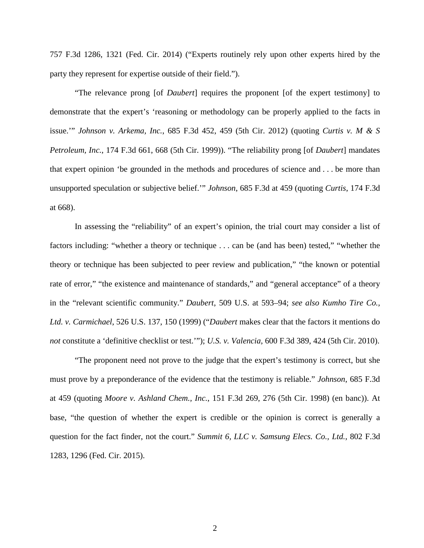757 F.3d 1286, 1321 (Fed. Cir. 2014) ("Experts routinely rely upon other experts hired by the party they represent for expertise outside of their field.").

"The relevance prong [of *Daubert*] requires the proponent [of the expert testimony] to demonstrate that the expert's 'reasoning or methodology can be properly applied to the facts in issue.'" *Johnson v. Arkema, Inc.*, 685 F.3d 452, 459 (5th Cir. 2012) (quoting *Curtis v. M & S Petroleum, Inc.*, 174 F.3d 661, 668 (5th Cir. 1999)). "The reliability prong [of *Daubert*] mandates that expert opinion 'be grounded in the methods and procedures of science and . . . be more than unsupported speculation or subjective belief.'" *Johnson*, 685 F.3d at 459 (quoting *Curtis*, 174 F.3d at 668).

In assessing the "reliability" of an expert's opinion, the trial court may consider a list of factors including: "whether a theory or technique . . . can be (and has been) tested," "whether the theory or technique has been subjected to peer review and publication," "the known or potential rate of error," "the existence and maintenance of standards," and "general acceptance" of a theory in the "relevant scientific community." *Daubert*, 509 U.S. at 593–94; *see also Kumho Tire Co., Ltd. v. Carmichael*, 526 U.S. 137, 150 (1999) ("*Daubert* makes clear that the factors it mentions do *not* constitute a 'definitive checklist or test.'"); *U.S. v. Valencia*, 600 F.3d 389, 424 (5th Cir. 2010).

"The proponent need not prove to the judge that the expert's testimony is correct, but she must prove by a preponderance of the evidence that the testimony is reliable." *Johnson*, 685 F.3d at 459 (quoting *Moore v. Ashland Chem., Inc.*, 151 F.3d 269, 276 (5th Cir. 1998) (en banc)). At base, "the question of whether the expert is credible or the opinion is correct is generally a question for the fact finder, not the court." *Summit 6, LLC v. Samsung Elecs. Co., Ltd.*, 802 F.3d 1283, 1296 (Fed. Cir. 2015).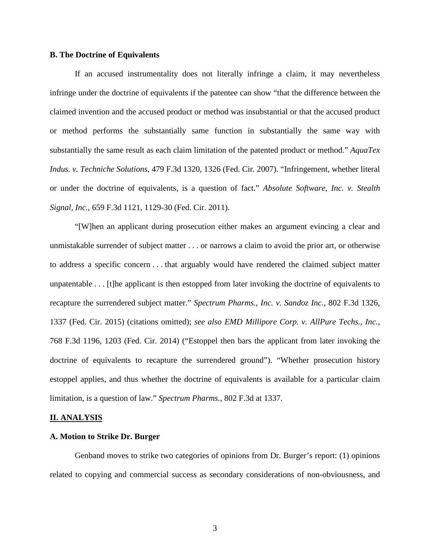## **B. The Doctrine of Equivalents**

If an accused instrumentality does not literally infringe a claim, it may nevertheless infringe under the doctrine of equivalents if the patentee can show "that the difference between the claimed invention and the accused product or method was insubstantial or that the accused product or method performs the substantially same function in substantially the same way with substantially the same result as each claim limitation of the patented product or method." *AquaTex Indus. v. Techniche Solutions*, 479 F.3d 1320, 1326 (Fed. Cir. 2007). "Infringement, whether literal or under the doctrine of equivalents, is a question of fact." *Absolute Software, Inc. v. Stealth Signal, Inc.*, 659 F.3d 1121, 1129-30 (Fed. Cir. 2011).

"[W]hen an applicant during prosecution either makes an argument evincing a clear and unmistakable surrender of subject matter . . . or narrows a claim to avoid the prior art, or otherwise to address a specific concern . . . that arguably would have rendered the claimed subject matter unpatentable . . . [t]he applicant is then estopped from later invoking the doctrine of equivalents to recapture the surrendered subject matter." *Spectrum Pharms., Inc. v. Sandoz Inc.*, 802 F.3d 1326, 1337 (Fed. Cir. 2015) (citations omitted); *see also EMD Millipore Corp. v. AllPure Techs., Inc.*, 768 F.3d 1196, 1203 (Fed. Cir. 2014) ("Estoppel then bars the applicant from later invoking the doctrine of equivalents to recapture the surrendered ground"). "Whether prosecution history estoppel applies, and thus whether the doctrine of equivalents is available for a particular claim limitation, is a question of law." *Spectrum Pharms.*, 802 F.3d at 1337.

#### **II. ANALYSIS**

#### **A. Motion to Strike Dr. Burger**

Genband moves to strike two categories of opinions from Dr. Burger's report: (1) opinions related to copying and commercial success as secondary considerations of non-obviousness, and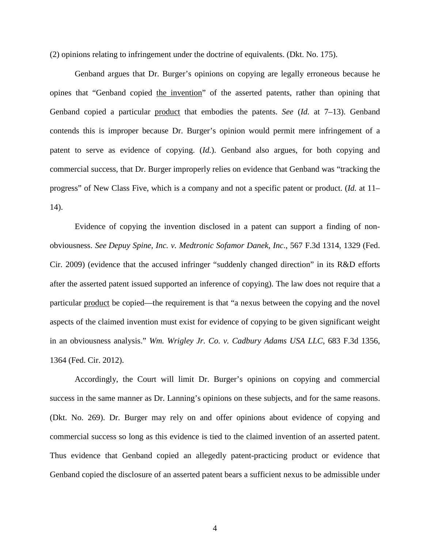(2) opinions relating to infringement under the doctrine of equivalents. (Dkt. No. 175).

Genband argues that Dr. Burger's opinions on copying are legally erroneous because he opines that "Genband copied the invention" of the asserted patents, rather than opining that Genband copied a particular product that embodies the patents. *See* (*Id.* at 7–13). Genband contends this is improper because Dr. Burger's opinion would permit mere infringement of a patent to serve as evidence of copying. (*Id.*). Genband also argues, for both copying and commercial success, that Dr. Burger improperly relies on evidence that Genband was "tracking the progress" of New Class Five, which is a company and not a specific patent or product. (*Id.* at 11– 14).

Evidence of copying the invention disclosed in a patent can support a finding of nonobviousness. *See Depuy Spine, Inc. v. Medtronic Sofamor Danek, Inc*., 567 F.3d 1314, 1329 (Fed. Cir. 2009) (evidence that the accused infringer "suddenly changed direction" in its R&D efforts after the asserted patent issued supported an inference of copying). The law does not require that a particular product be copied—the requirement is that "a nexus between the copying and the novel aspects of the claimed invention must exist for evidence of copying to be given significant weight in an obviousness analysis." *Wm. Wrigley Jr. Co. v. Cadbury Adams USA LLC*, 683 F.3d 1356, 1364 (Fed. Cir. 2012).

 Accordingly, the Court will limit Dr. Burger's opinions on copying and commercial success in the same manner as Dr. Lanning's opinions on these subjects, and for the same reasons. (Dkt. No. 269). Dr. Burger may rely on and offer opinions about evidence of copying and commercial success so long as this evidence is tied to the claimed invention of an asserted patent. Thus evidence that Genband copied an allegedly patent-practicing product or evidence that Genband copied the disclosure of an asserted patent bears a sufficient nexus to be admissible under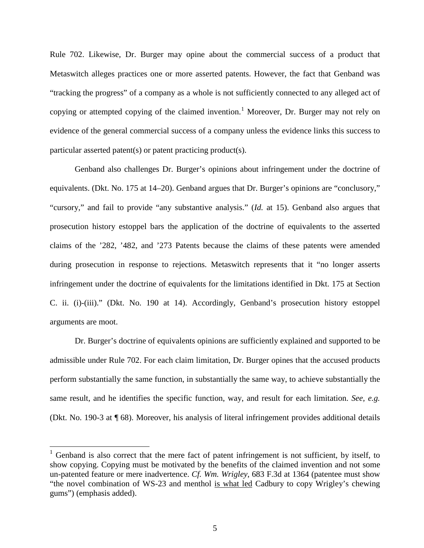Rule 702. Likewise, Dr. Burger may opine about the commercial success of a product that Metaswitch alleges practices one or more asserted patents. However, the fact that Genband was "tracking the progress" of a company as a whole is not sufficiently connected to any alleged act of copying or attempted copying of the claimed invention.<sup>[1](#page-4-0)</sup> Moreover, Dr. Burger may not rely on evidence of the general commercial success of a company unless the evidence links this success to particular asserted patent(s) or patent practicing product(s).

Genband also challenges Dr. Burger's opinions about infringement under the doctrine of equivalents. (Dkt. No. 175 at 14–20). Genband argues that Dr. Burger's opinions are "conclusory," "cursory," and fail to provide "any substantive analysis." (*Id.* at 15). Genband also argues that prosecution history estoppel bars the application of the doctrine of equivalents to the asserted claims of the '282, '482, and '273 Patents because the claims of these patents were amended during prosecution in response to rejections. Metaswitch represents that it "no longer asserts infringement under the doctrine of equivalents for the limitations identified in Dkt. 175 at Section C. ii. (i)-(iii)." (Dkt. No. 190 at 14). Accordingly, Genband's prosecution history estoppel arguments are moot.

Dr. Burger's doctrine of equivalents opinions are sufficiently explained and supported to be admissible under Rule 702. For each claim limitation, Dr. Burger opines that the accused products perform substantially the same function, in substantially the same way, to achieve substantially the same result, and he identifies the specific function, way, and result for each limitation. *See, e.g.* (Dkt. No. 190-3 at ¶ 68). Moreover, his analysis of literal infringement provides additional details

l

<span id="page-4-0"></span> $1$  Genband is also correct that the mere fact of patent infringement is not sufficient, by itself, to show copying. Copying must be motivated by the benefits of the claimed invention and not some un-patented feature or mere inadvertence. *Cf. Wm. Wrigley*, 683 F.3d at 1364 (patentee must show "the novel combination of WS-23 and menthol is what led Cadbury to copy Wrigley's chewing gums") (emphasis added).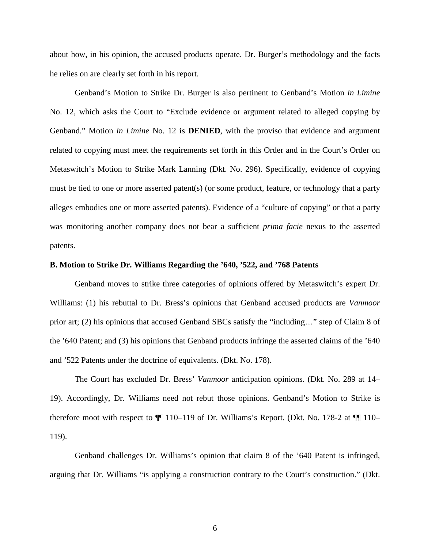about how, in his opinion, the accused products operate. Dr. Burger's methodology and the facts he relies on are clearly set forth in his report.

Genband's Motion to Strike Dr. Burger is also pertinent to Genband's Motion *in Limine* No. 12, which asks the Court to "Exclude evidence or argument related to alleged copying by Genband." Motion *in Limine* No. 12 is **DENIED**, with the proviso that evidence and argument related to copying must meet the requirements set forth in this Order and in the Court's Order on Metaswitch's Motion to Strike Mark Lanning (Dkt. No. 296). Specifically, evidence of copying must be tied to one or more asserted patent(s) (or some product, feature, or technology that a party alleges embodies one or more asserted patents). Evidence of a "culture of copying" or that a party was monitoring another company does not bear a sufficient *prima facie* nexus to the asserted patents.

## **B. Motion to Strike Dr. Williams Regarding the '640, '522, and '768 Patents**

Genband moves to strike three categories of opinions offered by Metaswitch's expert Dr. Williams: (1) his rebuttal to Dr. Bress's opinions that Genband accused products are *Vanmoor* prior art; (2) his opinions that accused Genband SBCs satisfy the "including…" step of Claim 8 of the '640 Patent; and (3) his opinions that Genband products infringe the asserted claims of the '640 and '522 Patents under the doctrine of equivalents. (Dkt. No. 178).

The Court has excluded Dr. Bress' *Vanmoor* anticipation opinions. (Dkt. No. 289 at 14– 19). Accordingly, Dr. Williams need not rebut those opinions. Genband's Motion to Strike is therefore moot with respect to ¶¶ 110–119 of Dr. Williams's Report. (Dkt. No. 178-2 at ¶¶ 110– 119).

Genband challenges Dr. Williams's opinion that claim 8 of the '640 Patent is infringed, arguing that Dr. Williams "is applying a construction contrary to the Court's construction." (Dkt.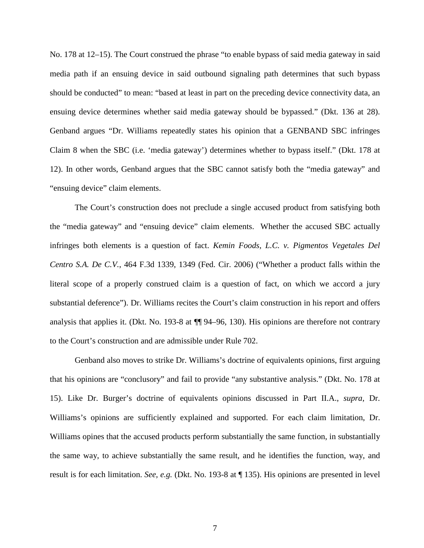No. 178 at 12–15). The Court construed the phrase "to enable bypass of said media gateway in said media path if an ensuing device in said outbound signaling path determines that such bypass should be conducted" to mean: "based at least in part on the preceding device connectivity data, an ensuing device determines whether said media gateway should be bypassed." (Dkt. 136 at 28). Genband argues "Dr. Williams repeatedly states his opinion that a GENBAND SBC infringes Claim 8 when the SBC (i.e. 'media gateway') determines whether to bypass itself." (Dkt. 178 at 12). In other words, Genband argues that the SBC cannot satisfy both the "media gateway" and "ensuing device" claim elements.

The Court's construction does not preclude a single accused product from satisfying both the "media gateway" and "ensuing device" claim elements. Whether the accused SBC actually infringes both elements is a question of fact. *Kemin Foods, L.C. v. Pigmentos Vegetales Del Centro S.A. De C.V.*, 464 F.3d 1339, 1349 (Fed. Cir. 2006) ("Whether a product falls within the literal scope of a properly construed claim is a question of fact, on which we accord a jury substantial deference"). Dr. Williams recites the Court's claim construction in his report and offers analysis that applies it. (Dkt. No. 193-8 at ¶¶ 94–96, 130). His opinions are therefore not contrary to the Court's construction and are admissible under Rule 702.

Genband also moves to strike Dr. Williams's doctrine of equivalents opinions, first arguing that his opinions are "conclusory" and fail to provide "any substantive analysis." (Dkt. No. 178 at 15). Like Dr. Burger's doctrine of equivalents opinions discussed in Part II.A., *supra*, Dr. Williams's opinions are sufficiently explained and supported. For each claim limitation, Dr. Williams opines that the accused products perform substantially the same function, in substantially the same way, to achieve substantially the same result, and he identifies the function, way, and result is for each limitation. *See, e.g.* (Dkt. No. 193-8 at ¶ 135). His opinions are presented in level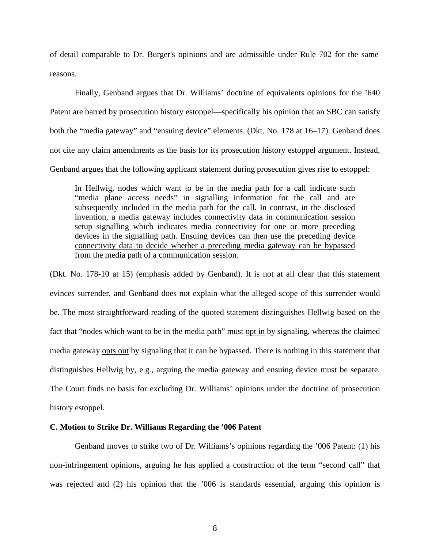of detail comparable to Dr. Burger's opinions and are admissible under Rule 702 for the same reasons.

Finally, Genband argues that Dr. Williams' doctrine of equivalents opinions for the '640 Patent are barred by prosecution history estoppel—specifically his opinion that an SBC can satisfy both the "media gateway" and "ensuing device" elements. (Dkt. No. 178 at 16–17). Genband does not cite any claim amendments as the basis for its prosecution history estoppel argument. Instead, Genband argues that the following applicant statement during prosecution gives rise to estoppel:

In Hellwig, nodes which want to be in the media path for a call indicate such "media plane access needs" in signalling information for the call and are subsequently included in the media path for the call. In contrast, in the disclosed invention, a media gateway includes connectivity data in communication session setup signalling which indicates media connectivity for one or more preceding devices in the signalling path. Ensuing devices can then use the preceding device connectivity data to decide whether a preceding media gateway can be bypassed from the media path of a communication session.

(Dkt. No. 178-10 at 15) (emphasis added by Genband). It is not at all clear that this statement evinces surrender, and Genband does not explain what the alleged scope of this surrender would be. The most straightforward reading of the quoted statement distinguishes Hellwig based on the fact that "nodes which want to be in the media path" must opt in by signaling, whereas the claimed media gateway opts out by signaling that it can be bypassed. There is nothing in this statement that distinguishes Hellwig by, e.g., arguing the media gateway and ensuing device must be separate. The Court finds no basis for excluding Dr. Williams' opinions under the doctrine of prosecution history estoppel.

## **C. Motion to Strike Dr. Williams Regarding the '006 Patent**

Genband moves to strike two of Dr. Williams's opinions regarding the '006 Patent: (1) his non-infringement opinions, arguing he has applied a construction of the term "second call" that was rejected and (2) his opinion that the '006 is standards essential, arguing this opinion is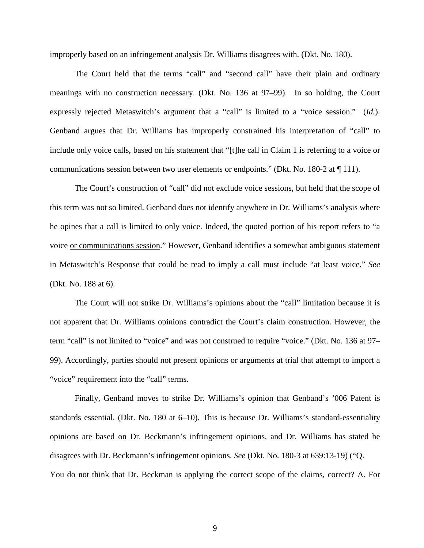improperly based on an infringement analysis Dr. Williams disagrees with. (Dkt. No. 180).

The Court held that the terms "call" and "second call" have their plain and ordinary meanings with no construction necessary. (Dkt. No. 136 at 97–99). In so holding, the Court expressly rejected Metaswitch's argument that a "call" is limited to a "voice session." (*Id.*). Genband argues that Dr. Williams has improperly constrained his interpretation of "call" to include only voice calls, based on his statement that "[t]he call in Claim 1 is referring to a voice or communications session between two user elements or endpoints." (Dkt. No. 180-2 at ¶ 111).

The Court's construction of "call" did not exclude voice sessions, but held that the scope of this term was not so limited. Genband does not identify anywhere in Dr. Williams's analysis where he opines that a call is limited to only voice. Indeed, the quoted portion of his report refers to "a voice or communications session." However, Genband identifies a somewhat ambiguous statement in Metaswitch's Response that could be read to imply a call must include "at least voice." *See*  (Dkt. No. 188 at 6).

The Court will not strike Dr. Williams's opinions about the "call" limitation because it is not apparent that Dr. Williams opinions contradict the Court's claim construction. However, the term "call" is not limited to "voice" and was not construed to require "voice." (Dkt. No. 136 at 97– 99). Accordingly, parties should not present opinions or arguments at trial that attempt to import a "voice" requirement into the "call" terms.

Finally, Genband moves to strike Dr. Williams's opinion that Genband's '006 Patent is standards essential. (Dkt. No. 180 at 6–10). This is because Dr. Williams's standard-essentiality opinions are based on Dr. Beckmann's infringement opinions, and Dr. Williams has stated he disagrees with Dr. Beckmann's infringement opinions. *See* (Dkt. No. 180-3 at 639:13-19) ("Q. You do not think that Dr. Beckman is applying the correct scope of the claims, correct? A. For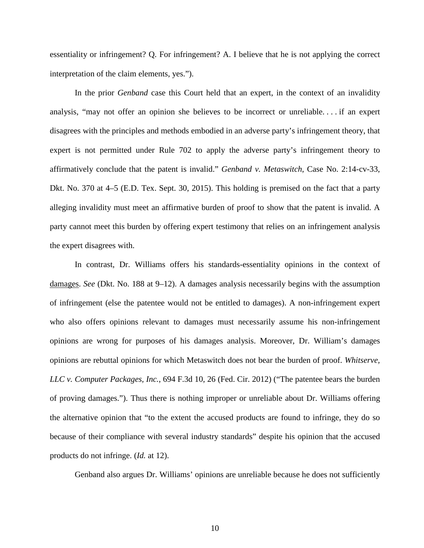essentiality or infringement? Q. For infringement? A. I believe that he is not applying the correct interpretation of the claim elements, yes.").

In the prior *Genband* case this Court held that an expert, in the context of an invalidity analysis, "may not offer an opinion she believes to be incorrect or unreliable. . . . if an expert disagrees with the principles and methods embodied in an adverse party's infringement theory, that expert is not permitted under Rule 702 to apply the adverse party's infringement theory to affirmatively conclude that the patent is invalid." *Genband v. Metaswitch*, Case No. 2:14-cv-33, Dkt. No. 370 at 4–5 (E.D. Tex. Sept. 30, 2015). This holding is premised on the fact that a party alleging invalidity must meet an affirmative burden of proof to show that the patent is invalid. A party cannot meet this burden by offering expert testimony that relies on an infringement analysis the expert disagrees with.

In contrast, Dr. Williams offers his standards-essentiality opinions in the context of damages. *See* (Dkt. No. 188 at 9–12). A damages analysis necessarily begins with the assumption of infringement (else the patentee would not be entitled to damages). A non-infringement expert who also offers opinions relevant to damages must necessarily assume his non-infringement opinions are wrong for purposes of his damages analysis. Moreover, Dr. William's damages opinions are rebuttal opinions for which Metaswitch does not bear the burden of proof. *Whitserve, LLC v. Computer Packages, Inc.*, 694 F.3d 10, 26 (Fed. Cir. 2012) ("The patentee bears the burden of proving damages."). Thus there is nothing improper or unreliable about Dr. Williams offering the alternative opinion that "to the extent the accused products are found to infringe, they do so because of their compliance with several industry standards" despite his opinion that the accused products do not infringe. (*Id.* at 12).

Genband also argues Dr. Williams' opinions are unreliable because he does not sufficiently